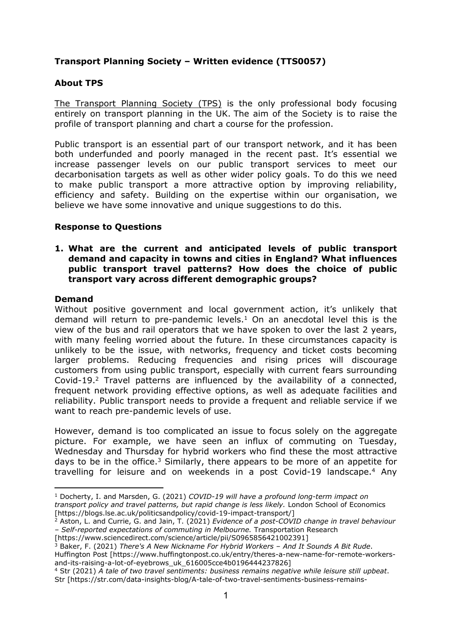# **Transport Planning Society – Written evidence (TTS0057)**

## **About TPS**

[The](https://tps.org.uk/) [Transport](https://tps.org.uk/) [Planning](https://tps.org.uk/) [Society](https://tps.org.uk/) [\(TPS\)](https://tps.org.uk/) is the only professional body focusing entirely on transport planning in the UK.  The aim of the Society is to raise the profile of transport planning and chart a course for the profession.

Public transport is an essential part of our transport network, and it has been both underfunded and poorly managed in the recent past. It's essential we increase passenger levels on our public transport services to meet our decarbonisation targets as well as other wider policy goals. To do this we need to make public transport a more attractive option by improving reliability, efficiency and safety. Building on the expertise within our organisation, we believe we have some innovative and unique suggestions to do this.

## **Response to Questions**

### **1. What are the current and anticipated levels of public transport demand and capacity in towns and cities in England? What influences public transport travel patterns? How does the choice of public transport vary across different demographic groups?**

#### **Demand**

Without positive government and local government action, it's unlikely that demand will return to pre-pandemic levels.<sup>1</sup> On an anecdotal level this is the view of the bus and rail operators that we have spoken to over the last 2 years, with many feeling worried about the future. In these circumstances capacity is unlikely to be the issue, with networks, frequency and ticket costs becoming larger problems. Reducing frequencies and rising prices will discourage customers from using public transport, especially with current fears surrounding Covid-19.<sup>2</sup> Travel patterns are influenced by the availability of a connected, frequent network providing effective options, as well as adequate facilities and reliability. Public transport needs to provide a frequent and reliable service if we want to reach pre-pandemic levels of use.

However, demand is too complicated an issue to focus solely on the aggregate picture. For example, we have seen an influx of commuting on Tuesday, Wednesday and Thursday for hybrid workers who find these the most attractive days to be in the office.<sup>3</sup> Similarly, there appears to be more of an appetite for travelling for leisure and on weekends in a post Covid-19 landscape.<sup>4</sup> Any

<sup>3</sup> Baker, F. (2021) *There's A New Nickname For Hybrid Workers – And It Sounds A Bit Rude*.

Huffington Post [https://www.huffingtonpost.co.uk/entry/theres-a-new-name-for-remote-workersand-its-raising-a-lot-of-eyebrows\_uk\_616005cce4b0196444237826]

<sup>1</sup> Docherty, I. and Marsden, G. (2021) *COVID-19 will have a profound long-term impact on transport policy and travel patterns, but rapid change is less likely.* London School of Economics [https://blogs.lse.ac.uk/politicsandpolicy/covid-19-impact-transport/]

<sup>2</sup> Aston, L. and Currie, G. and Jain, T. (2021) *Evidence of a post-COVID change in travel behaviour – Self-reported expectations of commuting in Melbourne.* Transportation Research

<sup>[</sup>https://www.sciencedirect.com/science/article/pii/S0965856421002391]

<sup>4</sup> Str (2021) *A tale of two travel sentiments: business remains negative while leisure still upbeat*. Str [https://str.com/data-insights-blog/A-tale-of-two-travel-sentiments-business-remains-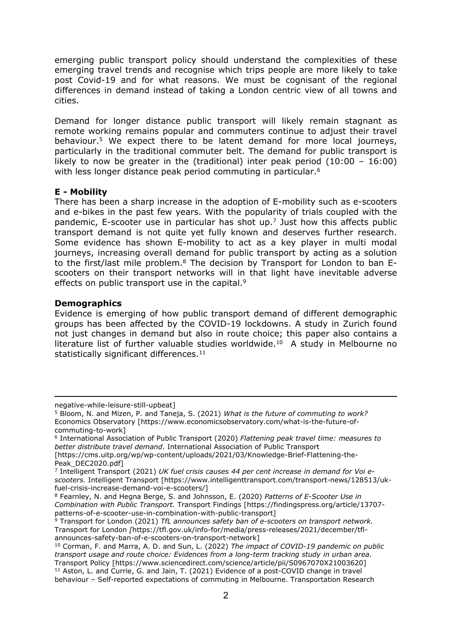emerging public transport policy should understand the complexities of these emerging travel trends and recognise which trips people are more likely to take post Covid-19 and for what reasons. We must be cognisant of the regional differences in demand instead of taking a London centric view of all towns and cities.

Demand for longer distance public transport will likely remain stagnant as remote working remains popular and commuters continue to adjust their travel behaviour.<sup>5</sup> We expect there to be latent demand for more local journeys, particularly in the traditional commuter belt. The demand for public transport is likely to now be greater in the (traditional) inter peak period (10:00 – 16:00) with less longer distance peak period commuting in particular.<sup>6</sup>

## **E - Mobility**

There has been a sharp increase in the adoption of E-mobility such as e-scooters and e-bikes in the past few years. With the popularity of trials coupled with the pandemic, E-scooter use in particular has shot up.<sup>7</sup> Just how this affects public transport demand is not quite yet fully known and deserves further research. Some evidence has shown E-mobility to act as a key player in multi modal journeys, increasing overall demand for public transport by acting as a solution to the first/last mile problem.<sup>8</sup> The decision by Transport for London to ban Escooters on their transport networks will in that light have inevitable adverse effects on public transport use in the capital.<sup>9</sup>

## **Demographics**

Evidence is emerging of how public transport demand of different demographic groups has been affected by the COVID-19 lockdowns. A study in Zurich found not just changes in demand but also in route choice; this paper also contains a literature list of further valuable studies worldwide.<sup>10</sup> A study in Melbourne no statistically significant differences.<sup>11</sup>

negative-while-leisure-still-upbeat]

<sup>5</sup> Bloom, N. and Mizen, P. and Taneja, S. (2021) *What is the future of commuting to work?* Economics Observatory [https://www.economicsobservatory.com/what-is-the-future-ofcommuting-to-work]

<sup>6</sup> International Association of Public Transport (2020) *Flattening peak travel time: measures to better distribute travel demand*. International Association of Public Transport

<sup>[</sup>https://cms.uitp.org/wp/wp-content/uploads/2021/03/Knowledge-Brief-Flattening-the-Peak\_DEC2020.pdf]

<sup>7</sup> Intelligent Transport (2021) *UK fuel crisis causes 44 per cent increase in demand for Voi escooters.* Intelligent Transport [https://www.intelligenttransport.com/transport-news/128513/ukfuel-crisis-increase-demand-voi-e-scooters/]

<sup>8</sup> Fearnley, N. and Hegna Berge, S. and Johnsson, E. (2020) *Patterns of E-Scooter Use in Combination with Public Transport.* Transport Findings [https://findingspress.org/article/13707 patterns-of-e-scooter-use-in-combination-with-public-transport]

<sup>9</sup> Transport for London (2021) *TfL announces safety ban of e-scooters on transport network.* Transport for London *[*https://tfl.gov.uk/info-for/media/press-releases/2021/december/tflannounces-safety-ban-of-e-scooters-on-transport-network]

<sup>10</sup> Corman, F. and Marra, A. D. and Sun, L. (2022) *The impact of COVID-19 pandemic on public transport usage and route choice: Evidences from a long-term tracking study in urban area.* Transport Policy [https://www.sciencedirect.com/science/article/pii/S0967070X21003620] <sup>11</sup> Aston, L. and Currie, G. and Jain, T. (2021) Evidence of a post-COVID change in travel behaviour – Self-reported expectations of commuting in Melbourne. Transportation Research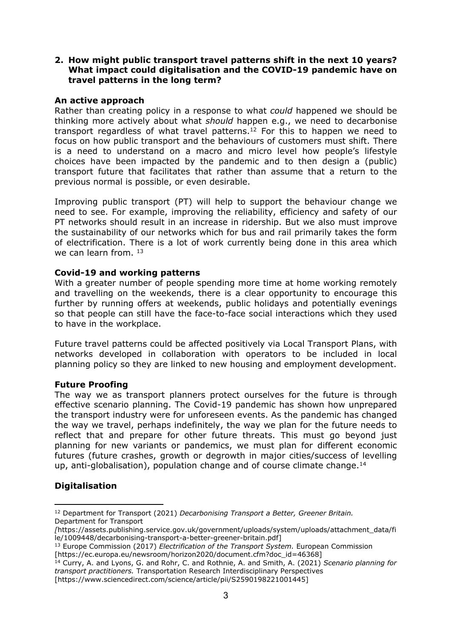## **2. How might public transport travel patterns shift in the next 10 years? What impact could digitalisation and the COVID-19 pandemic have on travel patterns in the long term?**

## **An active approach**

Rather than creating policy in a response to what *could* happened we should be thinking more actively about what *should* happen e.g., we need to decarbonise transport regardless of what travel patterns.<sup>12</sup> For this to happen we need to focus on how public transport and the behaviours of customers must shift. There is a need to understand on a macro and micro level how people's lifestyle choices have been impacted by the pandemic and to then design a (public) transport future that facilitates that rather than assume that a return to the previous normal is possible, or even desirable.

Improving public transport (PT) will help to support the behaviour change we need to see. For example, improving the reliability, efficiency and safety of our PT networks should result in an increase in ridership. But we also must improve the sustainability of our networks which for bus and rail primarily takes the form of electrification. There is a lot of work currently being done in this area which we can learn from.  $13$ 

## **Covid-19 and working patterns**

With a greater number of people spending more time at home working remotely and travelling on the weekends, there is a clear opportunity to encourage this further by running offers at weekends, public holidays and potentially evenings so that people can still have the face-to-face social interactions which they used to have in the workplace.

Future travel patterns could be affected positively via Local Transport Plans, with networks developed in collaboration with operators to be included in local planning policy so they are linked to new housing and employment development.

#### **Future Proofing**

The way we as transport planners protect ourselves for the future is through effective scenario planning. The Covid-19 pandemic has shown how unprepared the transport industry were for unforeseen events. As the pandemic has changed the way we travel, perhaps indefinitely, the way we plan for the future needs to reflect that and prepare for other future threats. This must go beyond just planning for new variants or pandemics, we must plan for different economic futures (future crashes, growth or degrowth in major cities/success of levelling up, anti-globalisation), population change and of course climate change.<sup>14</sup>

## **Digitalisation**

<sup>12</sup> Department for Transport (2021) *Decarbonising Transport a Better, Greener Britain.* Department for Transport

*<sup>[</sup>*https://assets.publishing.service.gov.uk/government/uploads/system/uploads/attachment\_data/fi le/1009448/decarbonising-transport-a-better-greener-britain.pdf]

<sup>13</sup> Europe Commission (2017) *Electrification of the Transport System.* European Commission [https://ec.europa.eu/newsroom/horizon2020/document.cfm?doc\_id=46368]

<sup>14</sup> Curry, A. and Lyons, G. and Rohr, C. and Rothnie, A. and Smith, A. (2021) *Scenario planning for transport practitioners.* Transportation Research Interdisciplinary Perspectives [https://www.sciencedirect.com/science/article/pii/S2590198221001445]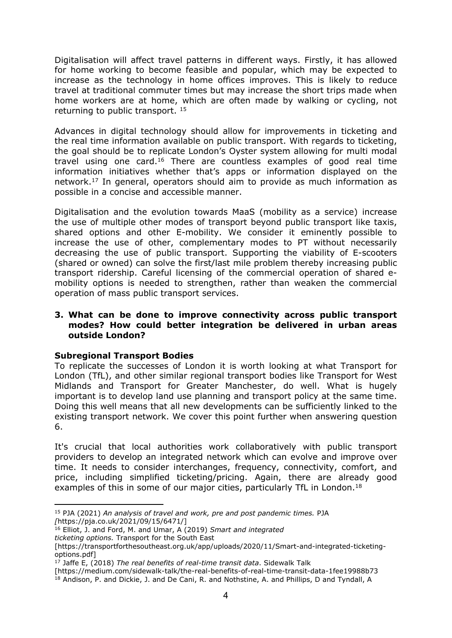Digitalisation will affect travel patterns in different ways. Firstly, it has allowed for home working to become feasible and popular, which may be expected to increase as the technology in home offices improves. This is likely to reduce travel at traditional commuter times but may increase the short trips made when home workers are at home, which are often made by walking or cycling, not returning to public transport. <sup>15</sup>

Advances in digital technology should allow for improvements in ticketing and the real time information available on public transport. With regards to ticketing, the goal should be to replicate London's Oyster system allowing for multi modal travel using one card.<sup>16</sup> There are countless examples of good real time information initiatives whether that's apps or information displayed on the network.<sup>17</sup> In general, operators should aim to provide as much information as possible in a concise and accessible manner.

Digitalisation and the evolution towards MaaS (mobility as a service) increase the use of multiple other modes of transport beyond public transport like taxis, shared options and other E-mobility. We consider it eminently possible to increase the use of other, complementary modes to PT without necessarily decreasing the use of public transport. Supporting the viability of E-scooters (shared or owned) can solve the first/last mile problem thereby increasing public transport ridership. Careful licensing of the commercial operation of shared emobility options is needed to strengthen, rather than weaken the commercial operation of mass public transport services.

## **3. What can be done to improve connectivity across public transport modes? How could better integration be delivered in urban areas outside London?**

## **Subregional Transport Bodies**

To replicate the successes of London it is worth looking at what Transport for London (TfL), and other similar regional transport bodies like Transport for West Midlands and Transport for Greater Manchester, do well. What is hugely important is to develop land use planning and transport policy at the same time. Doing this well means that all new developments can be sufficiently linked to the existing transport network. We cover this point further when answering question 6.

It's crucial that local authorities work collaboratively with public transport providers to develop an integrated network which can evolve and improve over time. It needs to consider interchanges, frequency, connectivity, comfort, and price, including simplified ticketing/pricing. Again, there are already good examples of this in some of our major cities, particularly TfL in London.<sup>18</sup>

<sup>15</sup> PJA (2021) *An analysis of travel and work, pre and post pandemic times.* PJA *[*https://pja.co.uk/2021/09/15/6471/]

<sup>16</sup> Elliot, J. and Ford, M. and Umar, A (2019) *Smart and integrated ticketing options.* Transport for the South East

<sup>[</sup>https://transportforthesoutheast.org.uk/app/uploads/2020/11/Smart-and-integrated-ticketingoptions.pdf]

<sup>17</sup> Jaffe E, (2018) *The real benefits of real-time transit data*. Sidewalk Talk

<sup>[</sup>https://medium.com/sidewalk-talk/the-real-benefits-of-real-time-transit-data-1fee19988b73 <sup>18</sup> Andison, P. and Dickie, J. and De Cani, R. and Nothstine, A. and Phillips, D and Tyndall, A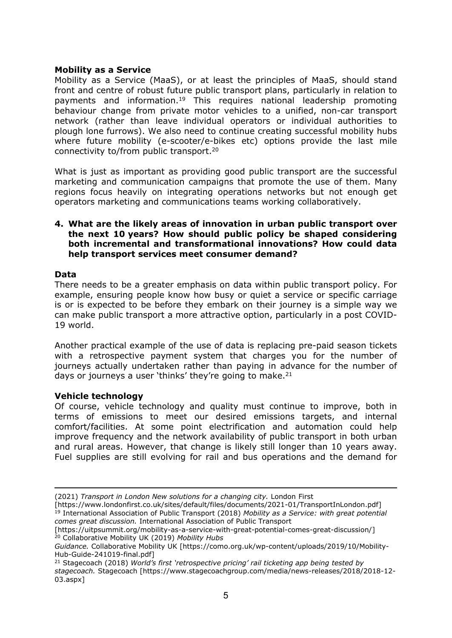## **Mobility as a Service**

Mobility as a Service (MaaS), or at least the principles of MaaS, should stand front and centre of robust future public transport plans, particularly in relation to payments and information.<sup>19</sup> This requires national leadership promoting behaviour change from private motor vehicles to a unified, non-car transport network (rather than leave individual operators or individual authorities to plough lone furrows). We also need to continue creating successful mobility hubs where future mobility (e-scooter/e-bikes etc) options provide the last mile connectivity to/from public transport.<sup>20</sup>

What is just as important as providing good public transport are the successful marketing and communication campaigns that promote the use of them. Many regions focus heavily on integrating operations networks but not enough get operators marketing and communications teams working collaboratively.

## **4. What are the likely areas of innovation in urban public transport over the next 10 years? How should public policy be shaped considering both incremental and transformational innovations? How could data help transport services meet consumer demand?**

#### **Data**

There needs to be a greater emphasis on data within public transport policy. For example, ensuring people know how busy or quiet a service or specific carriage is or is expected to be before they embark on their journey is a simple way we can make public transport a more attractive option, particularly in a post COVID-19 world.

Another practical example of the use of data is replacing pre-paid season tickets with a retrospective payment system that charges you for the number of journeys actually undertaken rather than paying in advance for the number of days or journeys a user 'thinks' they're going to make.<sup>21</sup>

#### **Vehicle technology**

Of course, vehicle technology and quality must continue to improve, both in terms of emissions to meet our desired emissions targets, and internal comfort/facilities. At some point electrification and automation could help improve frequency and the network availability of public transport in both urban and rural areas. However, that change is likely still longer than 10 years away. Fuel supplies are still evolving for rail and bus operations and the demand for

<sup>(2021)</sup> *Transport in London New solutions for a changing city.* London First

<sup>[</sup>https://www.londonfirst.co.uk/sites/default/files/documents/2021-01/TransportInLondon.pdf] <sup>19</sup> International Association of Public Transport (2018) *Mobility as a Service: with great potential comes great discussion.* International Association of Public Transport

<sup>[</sup>https://uitpsummit.org/mobility-as-a-service-with-great-potential-comes-great-discussion/] <sup>20</sup> Collaborative Mobility UK (2019) *Mobility Hubs*

*Guidance.* Collaborative Mobility UK [https://como.org.uk/wp-content/uploads/2019/10/Mobility-Hub-Guide-241019-final.pdf]

<sup>21</sup> Stagecoach (2018) *World's first 'retrospective pricing' rail ticketing app being tested by stagecoach.* Stagecoach [https://www.stagecoachgroup.com/media/news-releases/2018/2018-12- 03.aspx]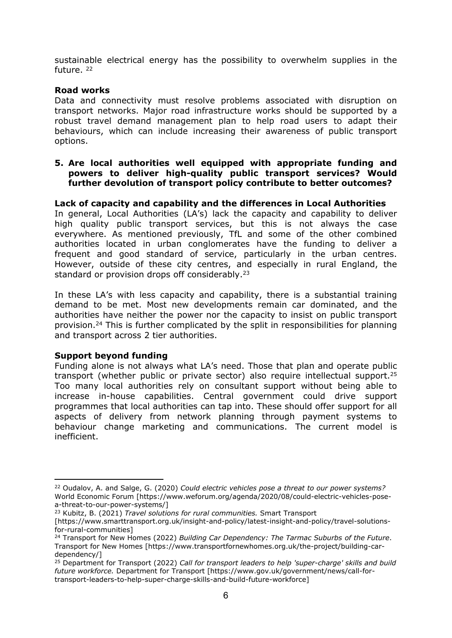sustainable electrical energy has the possibility to overwhelm supplies in the future. <sup>22</sup>

## **Road works**

Data and connectivity must resolve problems associated with disruption on transport networks. Major road infrastructure works should be supported by a robust travel demand management plan to help road users to adapt their behaviours, which can include increasing their awareness of public transport options.

### **5. Are local authorities well equipped with appropriate funding and powers to deliver high-quality public transport services? Would further devolution of transport policy contribute to better outcomes?**

## **Lack of capacity and capability and the differences in Local Authorities**

In general, Local Authorities (LA's) lack the capacity and capability to deliver high quality public transport services, but this is not always the case everywhere. As mentioned previously, TfL and some of the other combined authorities located in urban conglomerates have the funding to deliver a frequent and good standard of service, particularly in the urban centres. However, outside of these city centres, and especially in rural England, the standard or provision drops off considerably.<sup>23</sup>

In these LA's with less capacity and capability, there is a substantial training demand to be met. Most new developments remain car dominated, and the authorities have neither the power nor the capacity to insist on public transport provision.<sup>24</sup> This is further complicated by the split in responsibilities for planning and transport across 2 tier authorities.

## **Support beyond funding**

Funding alone is not always what LA's need. Those that plan and operate public transport (whether public or private sector) also require intellectual support.<sup>25</sup> Too many local authorities rely on consultant support without being able to increase in-house capabilities. Central government could drive support programmes that local authorities can tap into. These should offer support for all aspects of delivery from network planning through payment systems to behaviour change marketing and communications. The current model is inefficient.

<sup>22</sup> Oudalov, A. and Salge, G. (2020) *Could electric vehicles pose a threat to our power systems?* World Economic Forum [https://www.weforum.org/agenda/2020/08/could-electric-vehicles-posea-threat-to-our-power-systems/]

<sup>23</sup> Kubitz, B. (2021) *Travel solutions for rural communities.* Smart Transport

<sup>[</sup>https://www.smarttransport.org.uk/insight-and-policy/latest-insight-and-policy/travel-solutionsfor-rural-communities]

<sup>24</sup> Transport for New Homes (2022) *Building Car Dependency: The Tarmac Suburbs of the Future*. Transport for New Homes [https://www.transportfornewhomes.org.uk/the-project/building-cardependency/]

<sup>25</sup> Department for Transport (2022) *Call for transport leaders to help 'super-charge' skills and build future workforce.* Department for Transport [https://www.gov.uk/government/news/call-fortransport-leaders-to-help-super-charge-skills-and-build-future-workforce]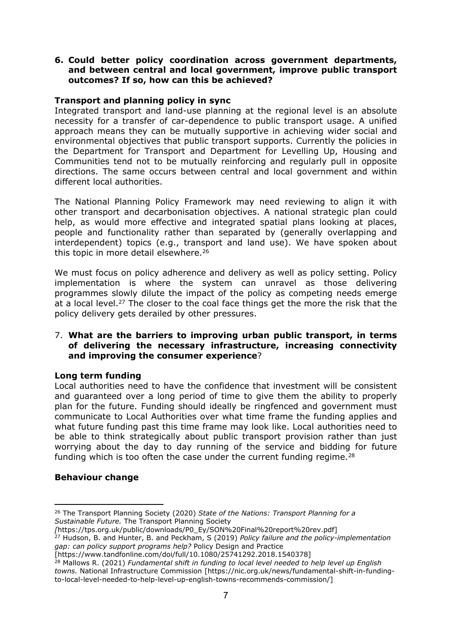### **6. Could better policy coordination across government departments, and between central and local government, improve public transport outcomes? If so, how can this be achieved?**

## **Transport and planning policy in sync**

Integrated transport and land-use planning at the regional level is an absolute necessity for a transfer of car-dependence to public transport usage. A unified approach means they can be mutually supportive in achieving wider social and environmental objectives that public transport supports. Currently the policies in the Department for Transport and Department for Levelling Up, Housing and Communities tend not to be mutually reinforcing and regularly pull in opposite directions. The same occurs between central and local government and within different local authorities.

The National Planning Policy Framework may need reviewing to align it with other transport and decarbonisation objectives. A national strategic plan could help, as would more effective and integrated spatial plans looking at places, people and functionality rather than separated by (generally overlapping and interdependent) topics (e.g., transport and land use). We have spoken about this topic in more detail elsewhere.<sup>26</sup>

We must focus on policy adherence and delivery as well as policy setting. Policy implementation is where the system can unravel as those delivering programmes slowly dilute the impact of the policy as competing needs emerge at a local level.<sup>27</sup> The closer to the coal face things get the more the risk that the policy delivery gets derailed by other pressures.

### 7. **What are the barriers to improving urban public transport, in terms of delivering the necessary infrastructure, increasing connectivity and improving the consumer experience**?

## **Long term funding**

Local authorities need to have the confidence that investment will be consistent and guaranteed over a long period of time to give them the ability to properly plan for the future. Funding should ideally be ringfenced and government must communicate to Local Authorities over what time frame the funding applies and what future funding past this time frame may look like. Local authorities need to be able to think strategically about public transport provision rather than just worrying about the day to day running of the service and bidding for future funding which is too often the case under the current funding regime. $28$ 

## **Behaviour change**

<sup>26</sup> The Transport Planning Society (2020) *State of the Nations: Transport Planning for a Sustainable Future.* The Transport Planning Society

*<sup>[</sup>*https://tps.org.uk/public/downloads/P0\_Ey/SON%20Final%20report%20rev.pdf]

<sup>27</sup> Hudson, B. and Hunter, B. and Peckham, S (2019) *Policy failure and the policy-implementation gap: can policy support programs help?* Policy Design and Practice

<sup>[</sup>https://www.tandfonline.com/doi/full/10.1080/25741292.2018.1540378]

<sup>28</sup> Mallows R. (2021) *Fundamental shift in funding to local level needed to help level up English towns.* National Infrastructure Commission [https://nic.org.uk/news/fundamental-shift-in-fundingto-local-level-needed-to-help-level-up-english-towns-recommends-commission/]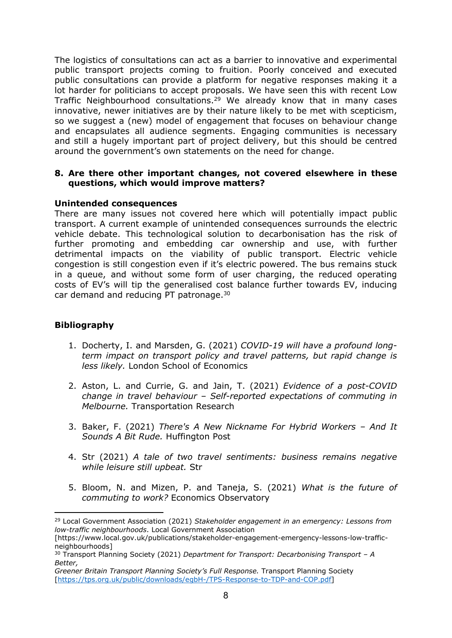The logistics of consultations can act as a barrier to innovative and experimental public transport projects coming to fruition. Poorly conceived and executed public consultations can provide a platform for negative responses making it a lot harder for politicians to accept proposals. We have seen this with recent Low Traffic Neighbourhood consultations.<sup>29</sup> We already know that in many cases innovative, newer initiatives are by their nature likely to be met with scepticism, so we suggest a (new) model of engagement that focuses on behaviour change and encapsulates all audience segments. Engaging communities is necessary and still a hugely important part of project delivery, but this should be centred around the government's own statements on the need for change.

### **8. Are there other important changes, not covered elsewhere in these questions, which would improve matters?**

#### **Unintended consequences**

There are many issues not covered here which will potentially impact public transport. A current example of unintended consequences surrounds the electric vehicle debate. This technological solution to decarbonisation has the risk of further promoting and embedding car ownership and use, with further detrimental impacts on the viability of public transport. Electric vehicle congestion is still congestion even if it's electric powered. The bus remains stuck in a queue, and without some form of user charging, the reduced operating costs of EV's will tip the generalised cost balance further towards EV, inducing car demand and reducing PT patronage.<sup>30</sup>

## **Bibliography**

- 1. Docherty, I. and Marsden, G. (2021) *COVID-19 will have a profound longterm impact on transport policy and travel patterns, but rapid change is less likely.* London School of Economics
- 2. Aston, L. and Currie, G. and Jain, T. (2021) *Evidence of a post-COVID change in travel behaviour – Self-reported expectations of commuting in Melbourne.* Transportation Research
- 3. Baker, F. (2021) *There's A New Nickname For Hybrid Workers – And It Sounds A Bit Rude.* Huffington Post
- 4. Str (2021) *A tale of two travel sentiments: business remains negative while leisure still upbeat.* Str
- 5. Bloom, N. and Mizen, P. and Taneja, S. (2021) *What is the future of commuting to work?* Economics Observatory

<sup>29</sup> Local Government Association (2021) *Stakeholder engagement in an emergency: Lessons from low-traffic neighbourhoods*. Local Government Association

<sup>[</sup>https://www.local.gov.uk/publications/stakeholder-engagement-emergency-lessons-low-trafficneighbourhoods]

<sup>30</sup> Transport Planning Society (2021) *Department for Transport: Decarbonising Transport – A Better,*

*Greener Britain Transport Planning Society's Full Response.* Transport Planning Society [\[https://tps.org.uk/public/downloads/egbH-/TPS-Response-to-TDP-and-COP.pdf\]](https://tps.org.uk/public/downloads/egbH-/TPS-Response-to-TDP-and-COP.pdf)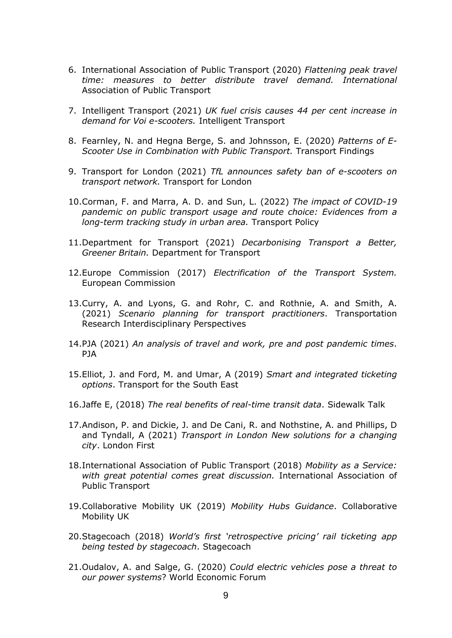- 6. International Association of Public Transport (2020) *Flattening peak travel time: measures to better distribute travel demand. International* Association of Public Transport
- 7. Intelligent Transport (2021) *UK fuel crisis causes 44 per cent increase in demand for Voi e-scooters.* Intelligent Transport
- 8. Fearnley, N. and Hegna Berge, S. and Johnsson, E. (2020) *Patterns of E-Scooter Use in Combination with Public Transport.* Transport Findings
- 9. Transport for London (2021) *TfL announces safety ban of e-scooters on transport network.* Transport for London
- 10.Corman, F. and Marra, A. D. and Sun, L. (2022) *The impact of COVID-19 pandemic on public transport usage and route choice: Evidences from a long-term tracking study in urban area.* Transport Policy
- 11.Department for Transport (2021) *Decarbonising Transport a Better, Greener Britain.* Department for Transport
- 12.Europe Commission (2017) *Electrification of the Transport System.* European Commission
- 13.Curry, A. and Lyons, G. and Rohr, C. and Rothnie, A. and Smith, A. (2021) *Scenario planning for transport practitioners*. Transportation Research Interdisciplinary Perspectives
- 14.PJA (2021) *An analysis of travel and work, pre and post pandemic times*. PJA
- 15.Elliot, J. and Ford, M. and Umar, A (2019) *Smart and integrated ticketing options*. Transport for the South East
- 16.Jaffe E, (2018) *The real benefits of real-time transit data*. Sidewalk Talk
- 17.Andison, P. and Dickie, J. and De Cani, R. and Nothstine, A. and Phillips, D and Tyndall, A (2021) *Transport in London New solutions for a changing city*. London First
- 18.International Association of Public Transport (2018) *Mobility as a Service: with great potential comes great discussion.* International Association of Public Transport
- 19.Collaborative Mobility UK (2019) *Mobility Hubs Guidance*. Collaborative Mobility UK
- 20.Stagecoach (2018) *World's first 'retrospective pricing' rail ticketing app being tested by stagecoach*. Stagecoach
- 21.Oudalov, A. and Salge, G. (2020) *Could electric vehicles pose a threat to our power systems*? World Economic Forum